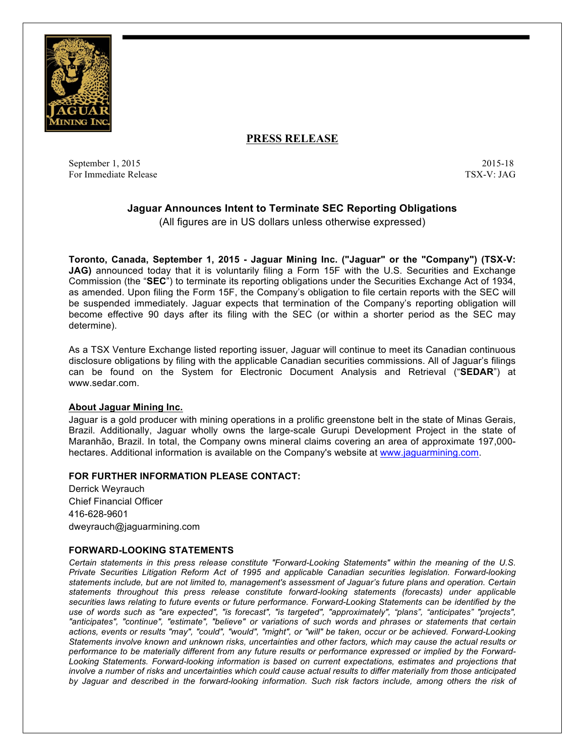

# **PRESS RELEASE**

September 1, 2015 2015-18 For Immediate Release TSX-V: JAG

## **Jaguar Announces Intent to Terminate SEC Reporting Obligations**

(All figures are in US dollars unless otherwise expressed)

**Toronto, Canada, September 1, 2015 - Jaguar Mining Inc. ("Jaguar" or the "Company") (TSX-V: JAG)** announced today that it is voluntarily filing a Form 15F with the U.S. Securities and Exchange Commission (the "**SEC**") to terminate its reporting obligations under the Securities Exchange Act of 1934, as amended. Upon filing the Form 15F, the Company's obligation to file certain reports with the SEC will be suspended immediately. Jaguar expects that termination of the Company's reporting obligation will become effective 90 days after its filing with the SEC (or within a shorter period as the SEC may determine).

As a TSX Venture Exchange listed reporting issuer, Jaguar will continue to meet its Canadian continuous disclosure obligations by filing with the applicable Canadian securities commissions. All of Jaguar's filings can be found on the System for Electronic Document Analysis and Retrieval ("**SEDAR**") at www.sedar.com.

### **About Jaguar Mining Inc.**

Jaguar is a gold producer with mining operations in a prolific greenstone belt in the state of Minas Gerais, Brazil. Additionally, Jaguar wholly owns the large-scale Gurupi Development Project in the state of Maranhão, Brazil. In total, the Company owns mineral claims covering an area of approximate 197,000 hectares. Additional information is available on the Company's website at www.jaguarmining.com.

### **FOR FURTHER INFORMATION PLEASE CONTACT:**

Derrick Weyrauch Chief Financial Officer 416-628-9601 dweyrauch@jaguarmining.com

### **FORWARD-LOOKING STATEMENTS**

*Certain statements in this press release constitute "Forward-Looking Statements" within the meaning of the U.S. Private Securities Litigation Reform Act of 1995 and applicable Canadian securities legislation. Forward-looking statements include, but are not limited to, management's assessment of Jaguar's future plans and operation. Certain statements throughout this press release constitute forward-looking statements (forecasts) under applicable securities laws relating to future events or future performance. Forward-Looking Statements can be identified by the use of words such as "are expected", "is forecast", "is targeted", "approximately", "plans", "anticipates" "projects", "anticipates", "continue", "estimate", "believe" or variations of such words and phrases or statements that certain actions, events or results "may", "could", "would", "might", or "will" be taken, occur or be achieved. Forward-Looking Statements involve known and unknown risks, uncertainties and other factors, which may cause the actual results or performance to be materially different from any future results or performance expressed or implied by the Forward-Looking Statements. Forward-looking information is based on current expectations, estimates and projections that involve a number of risks and uncertainties which could cause actual results to differ materially from those anticipated by Jaguar and described in the forward-looking information. Such risk factors include, among others the risk of*